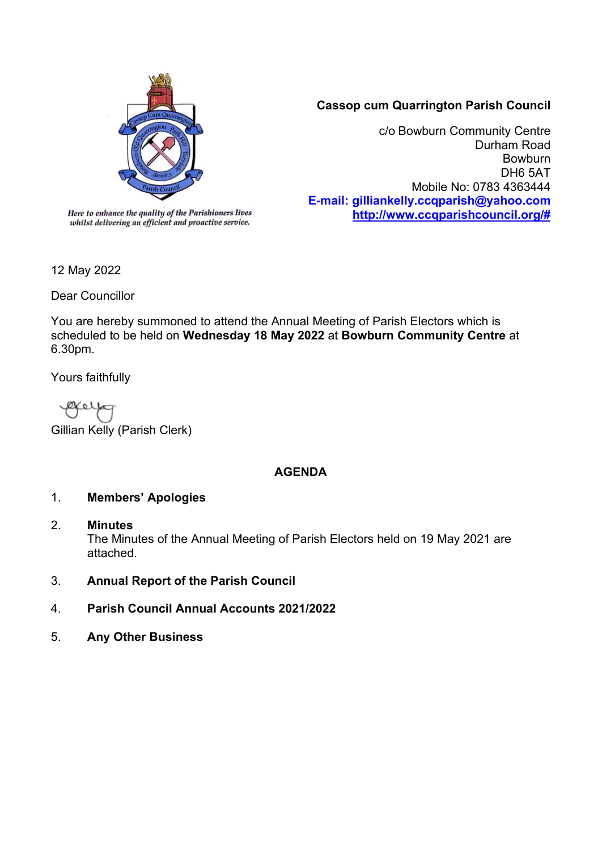

# **Cassop cum Quarrington Parish Council**

c/o Bowburn Community Centre Durham Road Bowburn DH6 5AT Mobile No: 0783 4363444 **E-mail: gilliankelly.ccqparish@yahoo.com [http://www.ccqparishcouncil.org/#](http://www.ccqparishcouncil.org/)**

Dear Councillor

12 May 2022

You are hereby summoned to attend the Annual Meeting of Parish Electors which is scheduled to be held on **Wednesday 18 May 2022** at **Bowburn Community Centre** at 6.30pm.

Yours faithfully

Gillian Kelly (Parish Clerk)

# **AGENDA**

# 1. **Members' Apologies**

2. **Minutes**

The Minutes of the Annual Meeting of Parish Electors held on 19 May 2021 are attached.

- 3. **Annual Report of the Parish Council**
- 4. **Parish Council Annual Accounts 2021/2022**
- 5. **Any Other Business**